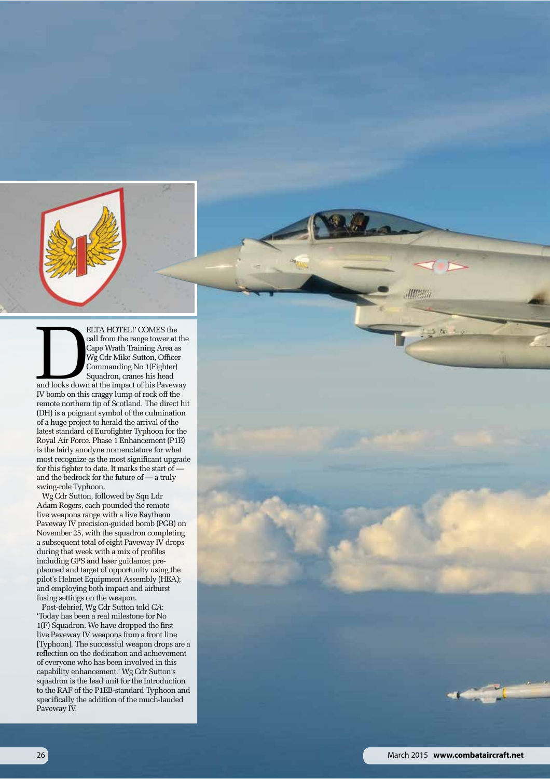

ELTA HOTEL!' COMES the<br>
call from the range tower at the<br>
Cape Wrath Training Area as<br>
Wg Cdr Mike Sutton, Officer<br>
Commanding No 1(Fighter)<br>
Squadron, cranes his head<br>
and looks down at the impact of his Paveway<br>
When he call from the range tower at the Cape Wrath Training Area as Wg Cdr Mike Sutton, Officer Commanding No 1(Fighter) Squadron, cranes his head IV bomb on this craggy lump of rock off the remote northern tip of Scotland. The direct hit (DH) is a poignant symbol of the culmination of a huge project to herald the arrival of the latest standard of Eurofighter Typhoon for the Royal Air Force. Phase 1 Enhancement (P1E) is the fairly anodyne nomenclature for what most recognize as the most significant upgrade for this fighter to date. It marks the start of and the bedrock for the future of — a truly swing-role Typhoon.

Wg Cdr Sutton, followed by Sqn Ldr Adam Rogers, each pounded the remote live weapons range with a live Raytheon Paveway IV precision-guided bomb (PGB) on November 25, with the squadron completing a subsequent total of eight Paveway IV drops during that week with a mix of profiles including GPS and laser guidance; preplanned and target of opportunity using the pilot's Helmet Equipment Assembly (HEA); and employing both impact and airburst fusing settings on the weapon.

Post-debrief, Wg Cdr Sutton told *CA*: 'Today has been a real milestone for No 1(F) Squadron. We have dropped the first live Paveway IV weapons from a front line [Typhoon]. The successful weapon drops are a reflection on the dedication and achievement of everyone who has been involved in this capability enhancement.' Wg Cdr Sutton's squadron is the lead unit for the introduction to the RAF of the P1EB-standard Typhoon and specifically the addition of the much-lauded Paveway IV.

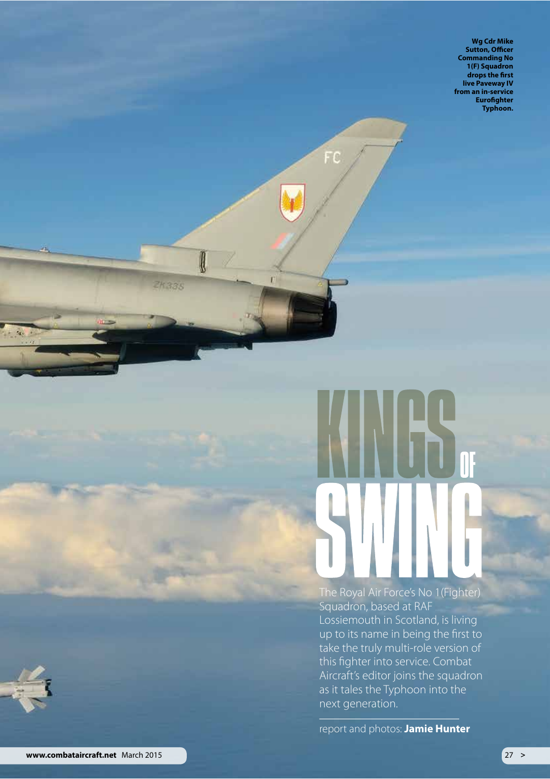**Wg Cdr Mike Sutton, Officer Commanding No** 1(F) Squadron drops the first live Paveway IV<br>from an in-service **Eurofighter Typhoon.** 



FC

0

ZK335

ß.

ï

The Royal Air Force's No 1(Fighter) Squadron, based at RAF Lossiemouth in Scotland, is living up to its name in being the first to take the truly multi-role version of this fighter into service. Combat Aircraft's editor joins the squadron as it tales the Typhoon into the next generation.

report and photos: Jamie Hunter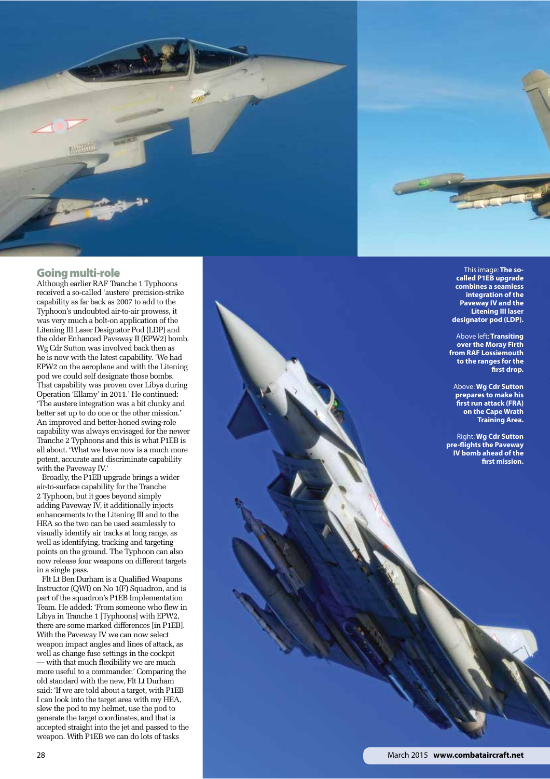

## Going multi-role

Although earlier RAF Tranche 1 Typhoons received a so-called 'austere' precision-strike capability as far back as 2007 to add to the Typhoon's undoubted air-to-air prowess, it was very much a bolt-on application of the Litening III Laser Designator Pod (LDP) and the older Enhanced Paveway II (EPW2) bomb. Wg Cdr Sutton was involved back then as he is now with the latest capability. 'We had EPW2 on the aeroplane and with the Litening pod we could self designate those bombs. That capability was proven over Libya during Operation 'Ellamy' in 2011.' He continued: 'The austere integration was a bit clunky and better set up to do one or the other mission.' An improved and better-honed swing-role capability was always envisaged for the newer Tranche 2 Typhoons and this is what P1EB is all about. 'What we have now is a much more potent, accurate and discriminate capability with the Paveway IV.'

Broadly, the P1EB upgrade brings a wider air-to-surface capability for the Tranche 2 Typhoon, but it goes beyond simply adding Paveway IV, it additionally injects enhancements to the Litening III and to the HEA so the two can be used seamlessly to visually identify air tracks at long range, as well as identifying, tracking and targeting points on the ground. The Typhoon can also now release four weapons on different targets in a single pass.

Flt Lt Ben Durham is a Qualified Weapons Instructor (QWI) on No 1(F) Squadron, and is part of the squadron's P1EB Implementation Team. He added: 'From someone who flew in Libya in Tranche 1 [Typhoons] with EPW2, there are some marked differences [in P1EB]. With the Paveway IV we can now select weapon impact angles and lines of attack, as well as change fuse settings in the cockpit — with that much flexibility we are much more useful to a commander.' Comparing the old standard with the new, Flt Lt Durham said: 'If we are told about a target, with P1EB I can look into the target area with my HEA, slew the pod to my helmet, use the pod to generate the target coordinates, and that is accepted straight into the jet and passed to the weapon. With P1EB we can do lots of tasks

This image: **The socalled P1EB upgrade combines a seamless integration of the Paveway IV and the Litening III laser designator pod (LDP).**

Above left: **Transiting over the Moray Firth from RAF Lossiemouth to the ranges for the frst drop.**

Above: **Wg Cdr Sutton prepares to make his frst run attack (FRA) on the Cape Wrath Training Area.**

Right: **Wg Cdr Sutton pre-fights the Paveway IV bomb ahead of the frst mission.**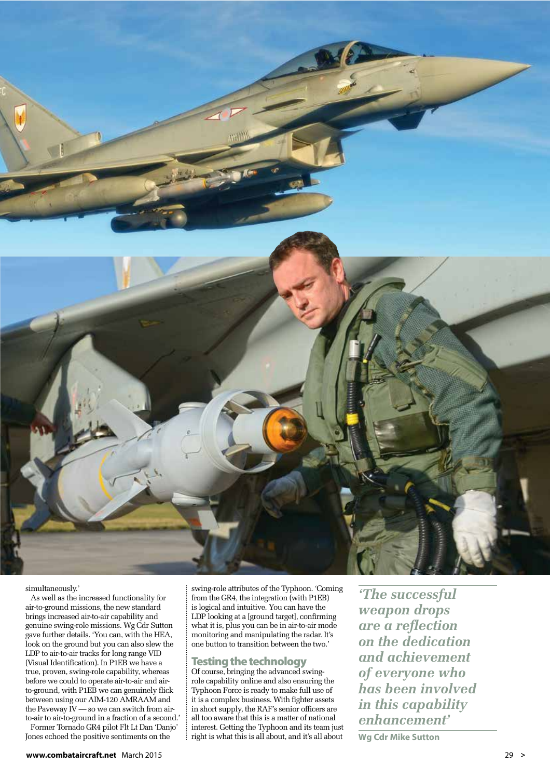

simultaneously.'

As well as the increased functionality for air-to-ground missions, the new standard brings increased air-to-air capability and genuine swing-role missions. Wg Cdr Sutton gave further details. 'You can, with the HEA, look on the ground but you can also slew the LDP to air-to-air tracks for long range VID (Visual Identification). In P1EB we have a true, proven, swing-role capability, whereas before we could to operate air-to-air and airto-ground, with P1EB we can genuinely flick between using our AIM-120 AMRAAM and the Paveway  $\tilde{I}V$  — so we can switch from airto-air to air-to-ground in a fraction of a second.'

Former Tornado GR4 pilot Flt Lt Dan 'Danjo' Jones echoed the positive sentiments on the

swing-role attributes of the Typhoon. 'Coming from the GR4, the integration (with P1EB) is logical and intuitive. You can have the LDP looking at a [ground target], confirming what it is, plus you can be in air-to-air mode monitoring and manipulating the radar. It's one button to transition between the two.'

## Testing the technology

Of course, bringing the advanced swingrole capability online and also ensuring the Typhoon Force is ready to make full use of it is a complex business. With fighter assets in short supply, the RAF's senior officers are all too aware that this is a matter of national interest. Getting the Typhoon and its team just right is what this is all about, and it's all about

*'The successful weapon drops are a reflection on the dedication and achievement of everyone who has been involved in this capability enhancement'* 

**Wg Cdr Mike Sutton**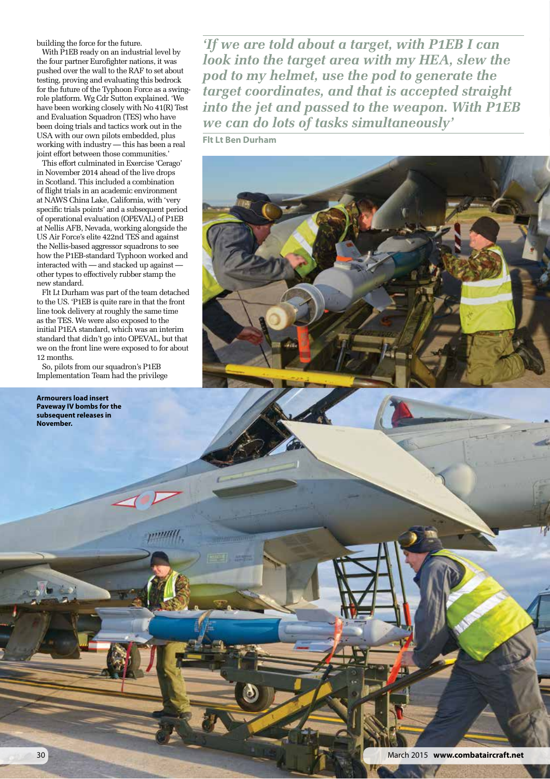building the force for the future.

With P1EB ready on an industrial level by the four partner Eurofighter nations, it was pushed over the wall to the RAF to set about testing, proving and evaluating this bedrock for the future of the Typhoon Force as a swingrole platform. Wg Cdr Sutton explained. 'We have been working closely with No 41(R) Test and Evaluation Squadron (TES) who have been doing trials and tactics work out in the USA with our own pilots embedded, plus working with industry — this has been a real joint effort between those communities.'

This effort culminated in Exercise 'Cerago' in November 2014 ahead of the live drops in Scotland. This included a combination of flight trials in an academic environment at NAWS China Lake, California, with 'very specific trials points' and a subsequent period of operational evaluation (OPEVAL) of P1EB at Nellis AFB, Nevada, working alongside the US Air Force's elite 422nd TES and against the Nellis-based aggressor squadrons to see how the P1EB-standard Typhoon worked and interacted with — and stacked up against other types to effectively rubber stamp the new standard.

Flt Lt Durham was part of the team detached to the US. 'P1EB is quite rare in that the front line took delivery at roughly the same time as the TES. We were also exposed to the initial P1EA standard, which was an interim standard that didn't go into OPEVAL, but that we on the front line were exposed to for about 12 months.

So, pilots from our squadron's P1EB Implementation Team had the privilege

**Armourers load insert Paveway IV bombs for the subsequent releases in November.**

*'If we are told about a target, with P1EB I can look into the target area with my HEA, slew the pod to my helmet, use the pod to generate the target coordinates, and that is accepted straight into the jet and passed to the weapon. With P1EB we can do lots of tasks simultaneously'* 

**Flt Lt Ben Durham**

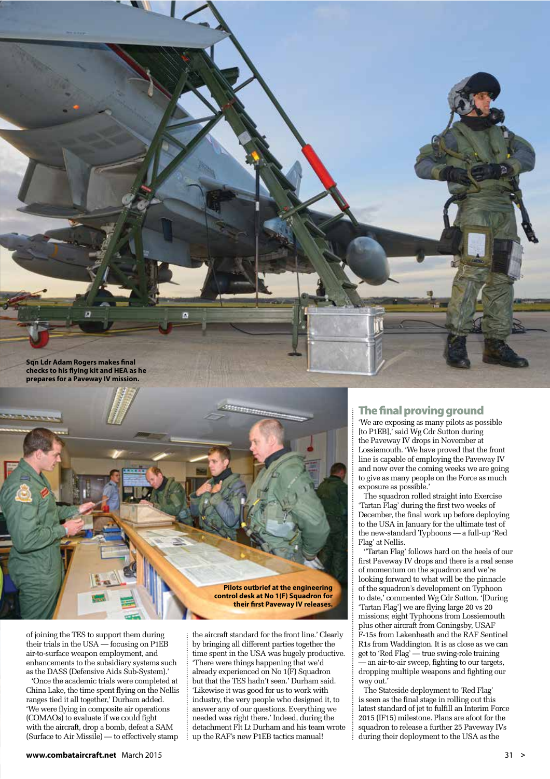

**Pilots outbrief at the engineering control desk at No 1(F) Squadron for their frst Paveway IV releases.**

of joining the TES to support them during their trials in the USA — focusing on P1EB air-to-surface weapon employment, and enhancements to the subsidiary systems such as the DASS (Defensive Aids Sub-System).'

'Once the academic trials were completed at China Lake, the time spent flying on the Nellis ranges tied it all together,' Durham added. 'We were flying in composite air operations (COMAOs) to evaluate if we could fight with the aircraft, drop a bomb, defeat a SAM (Surface to Air Missile) — to effectively stamp

the aircraft standard for the front line.' Clearly by bringing all different parties together the time spent in the USA was hugely productive. 'There were things happening that we'd already experienced on No 1(F) Squadron but that the TES hadn't seen.' Durham said. 'Likewise it was good for us to work with industry, the very people who designed it, to answer any of our questions. Everything we needed was right there.' Indeed, during the detachment Flt Lt Durham and his team wrote up the RAF's new P1EB tactics manual!

## The fnal proving ground

'We are exposing as many pilots as possible [to P1EB], said Wg Cdr Sutton during the Paveway IV drops in November at Lossiemouth. 'We have proved that the front line is capable of employing the Paveway IV and now over the coming weeks we are going to give as many people on the Force as much exposure as possible.'

The squadron rolled straight into Exercise 'Tartan Flag' during the first two weeks of December, the final work up before deploying to the USA in January for the ultimate test of the new-standard Typhoons — a full-up 'Red Flag' at Nellis.

''Tartan Flag' follows hard on the heels of our first Paveway IV drops and there is a real sense of momentum on the squadron and we're looking forward to what will be the pinnacle of the squadron's development on Typhoon to date,' commented Wg Cdr Sutton. '[During 'Tartan Flag'] we are flying large 20 vs 20 missions; eight Typhoons from Lossiemouth plus other aircraft from Coningsby, USAF F-15s from Lakenheath and the RAF Sentinel R1s from Waddington. It is as close as we can get to 'Red Flag' — true swing-role training — an air-to-air sweep, fighting to our targets, dropping multiple weapons and fighting our way out.'

The Stateside deployment to 'Red Flag' is seen as the final stage in rolling out this latest standard of jet to fulfill an Interim Force 2015 (IF15) milestone. Plans are afoot for the squadron to release a further 25 Paveway IVs during their deployment to the USA as the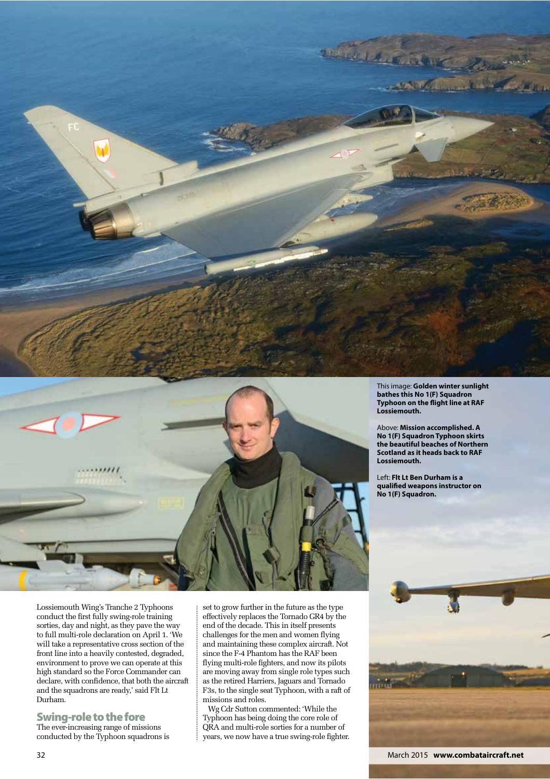



This image: **Golden winter sunlight bathes this No 1(F) Squadron Typhoon on the fight line at RAF Lossiemouth.**

Above: **Mission accomplished. A No 1(F) Squadron Typhoon skirts the beautiful beaches of Northern Scotland as it heads back to RAF Lossiemouth.**

Left: **Flt Lt Ben Durham is a qualifed weapons instructor on No 1(F) Squadron.**

Lossiemouth Wing's Tranche 2 Typhoons conduct the first fully swing-role training sorties, day and night, as they pave the way to full multi-role declaration on April 1. 'We will take a representative cross section of the front line into a heavily contested, degraded, environment to prove we can operate at this high standard so the Force Commander can declare, with confidence, that both the aircraft and the squadrons are ready,' said Flt Lt Durham.

Swing-role to the fore The ever-increasing range of missions conducted by the Typhoon squadrons is set to grow further in the future as the type effectively replaces the Tornado GR4 by the end of the decade. This in itself presents challenges for the men and women flying and maintaining these complex aircraft. Not since the F-4 Phantom has the RAF been flying multi-role fighters, and now its pilots are moving away from single role types such as the retired Harriers, Jaguars and Tornado F3s, to the single seat Typhoon, with a raft of missions and roles.

Wg Cdr Sutton commented: 'While the Typhoon has being doing the core role of QRA and multi-role sorties for a number of years, we now have a true swing-role fighter.